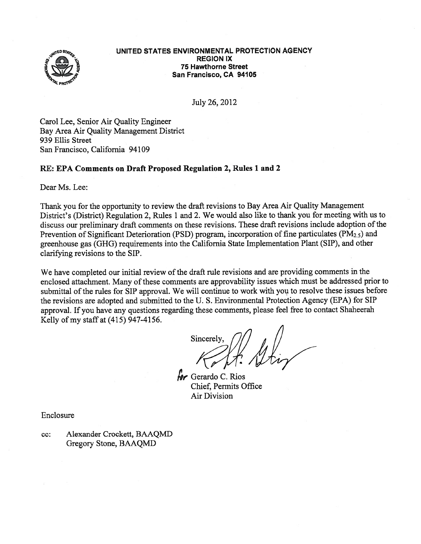

#### UNITED STATES ENVIRONMENTAL PROTECTION AGENCY REGION IX **75 Hawthorne Street** San Francisco, CA 94105

July 26, 2012

Carol Lee, Senior Air Quality Engineer Bay Area Air Quality Management District 939 Ellis Street San Francisco, California 94109

# RE: EPA Comments on Draft Proposed Regulation 2, Rules 1 and 2

Dear Ms. Lee:

Thank you for the opportunity to review the draft revisions to Bay Area Air Quality Management District's (District) Regulation 2, Rules <sup>1</sup> and 2. We would also like to thank you for meeting with us to discuss our preliminary draft comments on these revisions. These draft revisions include adoption of the Prevention of Significant Deterioration (PSD) program, incorporation of fine particulates (PM<sub>25</sub>) and greenhouse gas (GHG) requirements into the California State Implementation Plant (SIP), and other clarifying revisions to the SIP.

We have completed our initial review of the draft rule revisions and are providing comments in the enclosed attachment. Many of these comments are approvability issues which must be addressed prior to submittal of the rules for SIP approval. We will continue to work with you to resolve these issues before the revisions are adopted and submitted to the U. S. Environmental Protection Agency (EPA) for SIP approval. If you have any questions regarding these comments, <sup>p</sup>lease feel free to contact Shaheerah Kelly of my staff at (415) 947-4156.

Sincerely,

**Hr** Gerardo C. Rios Chief, Permits Office Air Division

Enclosure

cc: Alexander Crockett, BAAQMD Gregory Stone, BAAQMD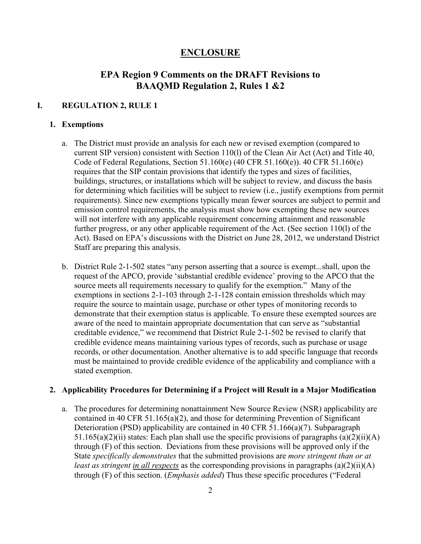# **ENCLOSURE**

# **EPA Region 9 Comments on the DRAFT Revisions to BAAQMD Regulation 2, Rules 1 &2**

# **I. REGULATION 2, RULE 1**

# **1. Exemptions**

- a. The District must provide an analysis for each new or revised exemption (compared to current SIP version) consistent with Section 110(l) of the Clean Air Act (Act) and Title 40, Code of Federal Regulations, Section 51.160(e) (40 CFR 51.160(e)). 40 CFR 51.160(e) requires that the SIP contain provisions that identify the types and sizes of facilities, buildings, structures, or installations which will be subject to review, and discuss the basis for determining which facilities will be subject to review (i.e., justify exemptions from permit requirements). Since new exemptions typically mean fewer sources are subject to permit and emission control requirements, the analysis must show how exempting these new sources will not interfere with any applicable requirement concerning attainment and reasonable further progress, or any other applicable requirement of the Act. (See section 110(l) of the Act). Based on EPA's discussions with the District on June 28, 2012, we understand District Staff are preparing this analysis.
- b. District Rule 2-1-502 states "any person asserting that a source is exempt...shall, upon the request of the APCO, provide 'substantial credible evidence' proving to the APCO that the source meets all requirements necessary to qualify for the exemption." Many of the exemptions in sections 2-1-103 through 2-1-128 contain emission thresholds which may require the source to maintain usage, purchase or other types of monitoring records to demonstrate that their exemption status is applicable. To ensure these exempted sources are aware of the need to maintain appropriate documentation that can serve as "substantial creditable evidence," we recommend that District Rule 2-1-502 be revised to clarify that credible evidence means maintaining various types of records, such as purchase or usage records, or other documentation. Another alternative is to add specific language that records must be maintained to provide credible evidence of the applicability and compliance with a stated exemption.

#### **2. Applicability Procedures for Determining if a Project will Result in a Major Modification**

a. The procedures for determining nonattainment New Source Review (NSR) applicability are contained in 40 CFR 51.165(a)(2), and those for determining Prevention of Significant Deterioration (PSD) applicability are contained in 40 CFR 51.166(a)(7). Subparagraph 51.165(a)(2)(ii) states: Each plan shall use the specific provisions of paragraphs (a)(2)(ii)(A) through (F) of this section. Deviations from these provisions will be approved only if the State *specifically demonstrates* that the submitted provisions are *more stringent than or at least as stringent in all respects* as the corresponding provisions in paragraphs (a)(2)(ii)(A) through (F) of this section. (*Emphasis added*) Thus these specific procedures ("Federal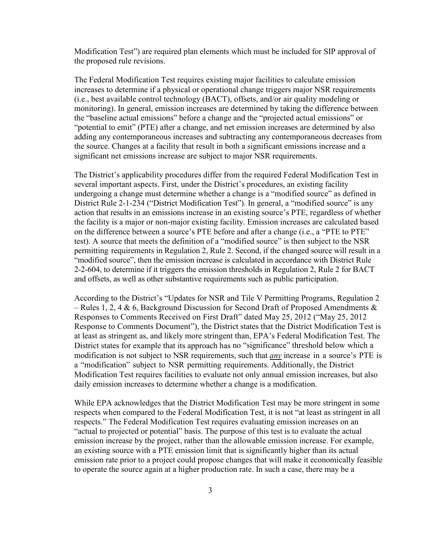Modification Test") are required plan elements which must be included for SIP approval of the proposed rule revisions.

The Federal Modification Test requires existing major facilities to calculate emission increases to determine if a physical or operational change triggers major NSR requirements (i.e., best available control technology (BACT), offsets, and/or air quality modeling or monitoring). In general, emission increases are determined by taking the difference between the "baseline actual emissions" before a change and the "projected actual emissions" or "potential to emit" (PTE) after a change, and net emission increases are determined by also adding any contemporaneous increases and subtracting any contemporaneous decreases from the source. Changes at a facility that result in both a significant emissions increase and a significant net emissions increase are subject to major NSR requirements.

The District's applicability procedures differ from the required Federal Modification Test in several important aspects. First, under the District's procedures, an existing facility undergoing a change must determine whether a change is a "modified source" as defined in District Rule 2-1-234 ("District Modification Test"). In general, a "modified source" is any action that results in an emissions increase in an existing source's PTE, regardless of whether the facility is a major or non-major existing facility. Emission increases are calculated based on the difference between a source's PTE before and after a change (i.e., a "PTE to PTE" test). A source that meets the definition of a "modified source" is then subject to the NSR permitting requirements in Regulation 2, Rule 2. Second, if the changed source will result in a "modified source", then the emission increase is calculated in accordance with District Rule 2-2-604, to determine if it triggers the emission thresholds in Regulation 2, Rule 2 for BACT and offsets, as well as other substantive requirements such as public participation.

According to the District's "Updates for NSR and Tile V Permitting Programs, Regulation 2 – Rules 1, 2, 4 & 6, Background Discussion for Second Draft of Proposed Amendments  $\&$ Responses to Comments Received on First Draft" dated May 25, 2012 ("May 25, 2012 Response to Comments Document"), the District states that the District Modification Test is at least as stringent as, and likely more stringent than, EPA's Federal Modification Test. The District states for example that its approach has no "significance" threshold below which a modification is not subject to NSR requirements, such that *any* increase in a source's PTE is a "modification" subject to NSR permitting requirements. Additionally, the District Modification Test requires facilities to evaluate not only annual emission increases, but also daily emission increases to determine whether a change is a modification.

While EPA acknowledges that the District Modification Test may be more stringent in some respects when compared to the Federal Modification Test, it is not "at least as stringent in all respects." The Federal Modification Test requires evaluating emission increases on an "actual to projected or potential" basis. The purpose of this test is to evaluate the actual emission increase by the project, rather than the allowable emission increase. For example, an existing source with a PTE emission limit that is significantly higher than its actual emission rate prior to a project could propose changes that will make it economically feasible to operate the source again at a higher production rate. In such a case, there may be a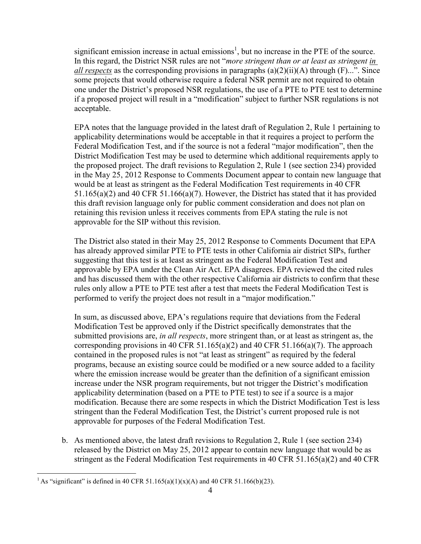significant emission increase in actual emissions<sup>1</sup>, but no increase in the PTE of the source. In this regard, the District NSR rules are not "*more stringent than or at least as stringent in all respects* as the corresponding provisions in paragraphs  $(a)(2)(ii)(A)$  through  $(F)$ ...". Since some projects that would otherwise require a federal NSR permit are not required to obtain one under the District's proposed NSR regulations, the use of a PTE to PTE test to determine if a proposed project will result in a "modification" subject to further NSR regulations is not acceptable.

EPA notes that the language provided in the latest draft of Regulation 2, Rule 1 pertaining to applicability determinations would be acceptable in that it requires a project to perform the Federal Modification Test, and if the source is not a federal "major modification", then the District Modification Test may be used to determine which additional requirements apply to the proposed project. The draft revisions to Regulation 2, Rule 1 (see section 234) provided in the May 25, 2012 Response to Comments Document appear to contain new language that would be at least as stringent as the Federal Modification Test requirements in 40 CFR 51.165(a)(2) and 40 CFR 51.166(a)(7). However, the District has stated that it has provided this draft revision language only for public comment consideration and does not plan on retaining this revision unless it receives comments from EPA stating the rule is not approvable for the SIP without this revision.

The District also stated in their May 25, 2012 Response to Comments Document that EPA has already approved similar PTE to PTE tests in other California air district SIPs, further suggesting that this test is at least as stringent as the Federal Modification Test and approvable by EPA under the Clean Air Act. EPA disagrees. EPA reviewed the cited rules and has discussed them with the other respective California air districts to confirm that these rules only allow a PTE to PTE test after a test that meets the Federal Modification Test is performed to verify the project does not result in a "major modification."

In sum, as discussed above, EPA's regulations require that deviations from the Federal Modification Test be approved only if the District specifically demonstrates that the submitted provisions are, *in all respects*, more stringent than, or at least as stringent as, the corresponding provisions in 40 CFR 51.165(a)(2) and 40 CFR 51.166(a)(7). The approach contained in the proposed rules is not "at least as stringent" as required by the federal programs, because an existing source could be modified or a new source added to a facility where the emission increase would be greater than the definition of a significant emission increase under the NSR program requirements, but not trigger the District's modification applicability determination (based on a PTE to PTE test) to see if a source is a major modification. Because there are some respects in which the District Modification Test is less stringent than the Federal Modification Test, the District's current proposed rule is not approvable for purposes of the Federal Modification Test.

b. As mentioned above, the latest draft revisions to Regulation 2, Rule 1 (see section 234) released by the District on May 25, 2012 appear to contain new language that would be as stringent as the Federal Modification Test requirements in 40 CFR 51.165(a)(2) and 40 CFR

 $\overline{a}$ 

<sup>&</sup>lt;sup>1</sup> As "significant" is defined in 40 CFR 51.165(a)(1)(x)(A) and 40 CFR 51.166(b)(23).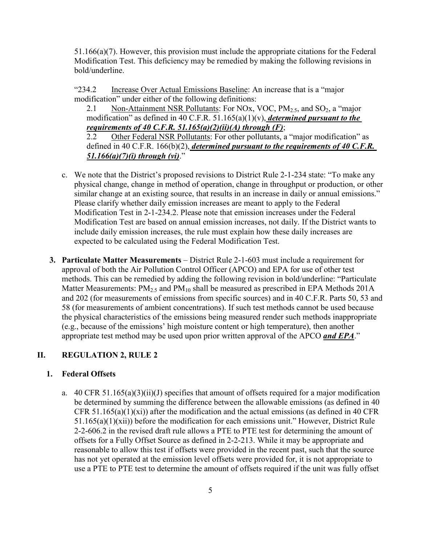51.166(a)(7). However, this provision must include the appropriate citations for the Federal Modification Test. This deficiency may be remedied by making the following revisions in bold/underline.

"234.2 Increase Over Actual Emissions Baseline: An increase that is a "major modification" under either of the following definitions:

2.1 Non-Attainment NSR Pollutants: For NOx, VOC,  $PM_{2.5}$ , and SO<sub>2</sub>, a "major modification" as defined in 40 C.F.R. 51.165(a)(1)(v), *determined pursuant to the requirements of 40 C.F.R. 51.165(a)(2)(ii)(A) through (F)*;

2.2 Other Federal NSR Pollutants: For other pollutants, a "major modification" as defined in 40 C.F.R. 166(b)(2), *determined pursuant to the requirements of 40 C.F.R. 51.166(a)(7)(i) through (vi)*."

- c. We note that the District's proposed revisions to District Rule 2-1-234 state: "To make any physical change, change in method of operation, change in throughput or production, or other similar change at an existing source, that results in an increase in daily or annual emissions." Please clarify whether daily emission increases are meant to apply to the Federal Modification Test in 2-1-234.2. Please note that emission increases under the Federal Modification Test are based on annual emission increases, not daily. If the District wants to include daily emission increases, the rule must explain how these daily increases are expected to be calculated using the Federal Modification Test.
- **3. Particulate Matter Measurements**  District Rule 2-1-603 must include a requirement for approval of both the Air Pollution Control Officer (APCO) and EPA for use of other test methods. This can be remedied by adding the following revision in bold/underline: "Particulate Matter Measurements:  $PM_{2.5}$  and  $PM_{10}$  shall be measured as prescribed in EPA Methods 201A and 202 (for measurements of emissions from specific sources) and in 40 C.F.R. Parts 50, 53 and 58 (for measurements of ambient concentrations). If such test methods cannot be used because the physical characteristics of the emissions being measured render such methods inappropriate (e.g., because of the emissions' high moisture content or high temperature), then another appropriate test method may be used upon prior written approval of the APCO *and EPA*."

# **II. REGULATION 2, RULE 2**

#### **1. Federal Offsets**

a. 40 CFR 51.165(a)(3)(ii)(J) specifies that amount of offsets required for a major modification be determined by summing the difference between the allowable emissions (as defined in 40 CFR 51.165(a)(1)(xi)) after the modification and the actual emissions (as defined in 40 CFR 51.165(a)(1)(xii)) before the modification for each emissions unit." However, District Rule 2-2-606.2 in the revised draft rule allows a PTE to PTE test for determining the amount of offsets for a Fully Offset Source as defined in 2-2-213. While it may be appropriate and reasonable to allow this test if offsets were provided in the recent past, such that the source has not yet operated at the emission level offsets were provided for, it is not appropriate to use a PTE to PTE test to determine the amount of offsets required if the unit was fully offset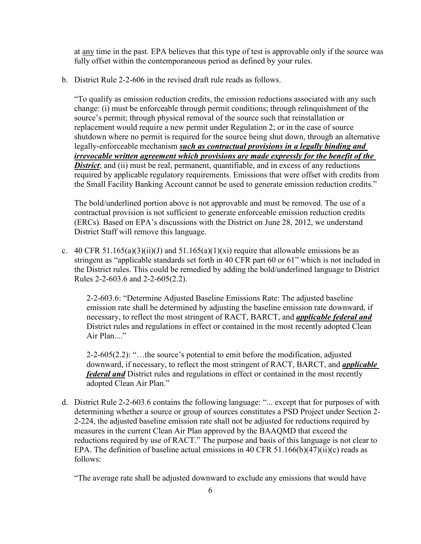at any time in the past. EPA believes that this type of test is approvable only if the source was fully offset within the contemporaneous period as defined by your rules.

b. District Rule 2-2-606 in the revised draft rule reads as follows.

"To qualify as emission reduction credits, the emission reductions associated with any such change: (i) must be enforceable through permit conditions; through relinquishment of the source's permit; through physical removal of the source such that reinstallation or replacement would require a new permit under Regulation 2; or in the case of source shutdown where no permit is required for the source being shut down, through an alternative legally-enforceable mechanism *such as contractual provisions in a legally binding and irrevocable written agreement which provisions are made expressly for the benefit of the District*; and (ii) must be real, permanent, quantifiable, and in excess of any reductions required by applicable regulatory requirements. Emissions that were offset with credits from the Small Facility Banking Account cannot be used to generate emission reduction credits."

The bold/underlined portion above is not approvable and must be removed. The use of a contractual provision is not sufficient to generate enforceable emission reduction credits (ERCs). Based on EPA's discussions with the District on June 28, 2012, we understand District Staff will remove this language.

c. 40 CFR 51.165(a)(3)(ii)(J) and 51.165(a)(1)(xi) require that allowable emissions be as stringent as "applicable standards set forth in 40 CFR part 60 or 61" which is not included in the District rules. This could be remedied by adding the bold/underlined language to District Rules 2-2-603.6 and 2-2-605(2.2).

2-2-603.6: "Determine Adjusted Baseline Emissions Rate: The adjusted baseline emission rate shall be determined by adjusting the baseline emission rate downward, if necessary, to reflect the most stringent of RACT, BARCT, and *applicable federal and* District rules and regulations in effect or contained in the most recently adopted Clean Air Plan...."

2-2-605(2.2): "…the source's potential to emit before the modification, adjusted downward, if necessary, to reflect the most stringent of RACT, BARCT, and *applicable federal and* District rules and regulations in effect or contained in the most recently adopted Clean Air Plan."

d. District Rule 2-2-603.6 contains the following language: "... except that for purposes of with determining whether a source or group of sources constitutes a PSD Project under Section 2- 2-224, the adjusted baseline emission rate shall not be adjusted for reductions required by measures in the current Clean Air Plan approved by the BAAQMD that exceed the reductions required by use of RACT." The purpose and basis of this language is not clear to EPA. The definition of baseline actual emissions in 40 CFR 51.166(b)(47)(ii)(c) reads as follows:

"The average rate shall be adjusted downward to exclude any emissions that would have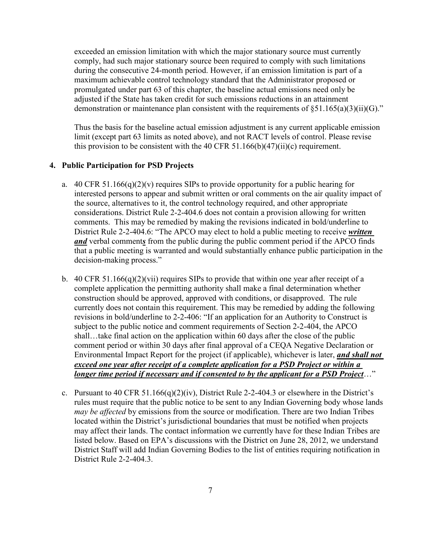exceeded an emission limitation with which the major stationary source must currently comply, had such major stationary source been required to comply with such limitations during the consecutive 24-month period. However, if an emission limitation is part of a maximum achievable control technology standard that the Administrator proposed or promulgated under part 63 of this chapter, the baseline actual emissions need only be adjusted if the State has taken credit for such emissions reductions in an attainment demonstration or maintenance plan consistent with the requirements of  $\S51.165(a)(3)(ii)(G)$ ."

Thus the basis for the baseline actual emission adjustment is any current applicable emission limit (except part 63 limits as noted above), and not RACT levels of control. Please revise this provision to be consistent with the 40 CFR 51.166(b)(47)(ii)(c) requirement.

# **4. Public Participation for PSD Projects**

- a. 40 CFR 51.166(q)(2)(v) requires SIPs to provide opportunity for a public hearing for interested persons to appear and submit written or oral comments on the air quality impact of the source, alternatives to it, the control technology required, and other appropriate considerations. District Rule 2-2-404.6 does not contain a provision allowing for written comments. This may be remedied by making the revisions indicated in bold/underline to District Rule 2-2-404.6: "The APCO may elect to hold a public meeting to receive *written and* verbal comment*s* from the public during the public comment period if the APCO finds that a public meeting is warranted and would substantially enhance public participation in the decision-making process."
- b. 40 CFR 51.166(q)(2)(vii) requires SIPs to provide that within one year after receipt of a complete application the permitting authority shall make a final determination whether construction should be approved, approved with conditions, or disapproved. The rule currently does not contain this requirement. This may be remedied by adding the following revisions in bold/underline to 2-2-406: "If an application for an Authority to Construct is subject to the public notice and comment requirements of Section 2-2-404, the APCO shall…take final action on the application within 60 days after the close of the public comment period or within 30 days after final approval of a CEQA Negative Declaration or Environmental Impact Report for the project (if applicable), whichever is later, *and shall not exceed one year after receipt of a complete application for a PSD Project or within a longer time period if necessary and if consented to by the applicant for a PSD Project*…"
- c. Pursuant to 40 CFR 51.166(q)(2)(iv), District Rule 2-2-404.3 or elsewhere in the District's rules must require that the public notice to be sent to any Indian Governing body whose lands *may be affected* by emissions from the source or modification. There are two Indian Tribes located within the District's jurisdictional boundaries that must be notified when projects may affect their lands. The contact information we currently have for these Indian Tribes are listed below. Based on EPA's discussions with the District on June 28, 2012, we understand District Staff will add Indian Governing Bodies to the list of entities requiring notification in District Rule 2-2-404.3.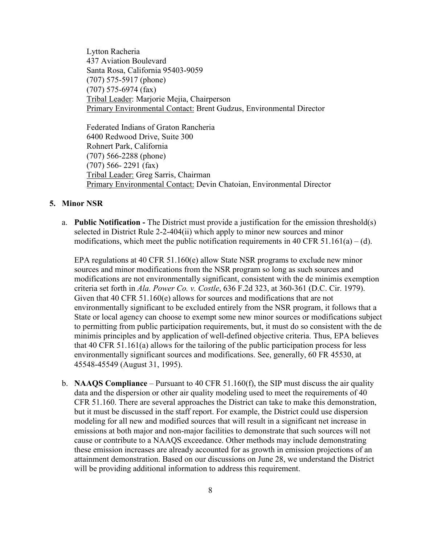Lytton Racheria 437 Aviation Boulevard Santa Rosa, California 95403-9059 (707) 575-5917 (phone) (707) 575-6974 (fax) Tribal Leader: Marjorie Mejia, Chairperson Primary Environmental Contact: Brent Gudzus, Environmental Director

Federated Indians of Graton Rancheria 6400 Redwood Drive, Suite 300 Rohnert Park, California (707) 566-2288 (phone) (707) 566- 2291 (fax) Tribal Leader: Greg Sarris, Chairman Primary Environmental Contact: Devin Chatoian, Environmental Director

#### **5. Minor NSR**

a. **Public Notification -** The District must provide a justification for the emission threshold(s) selected in District Rule 2-2-404(ii) which apply to minor new sources and minor modifications, which meet the public notification requirements in 40 CFR 51.161(a) – (d).

EPA regulations at 40 CFR 51.160(e) allow State NSR programs to exclude new minor sources and minor modifications from the NSR program so long as such sources and modifications are not environmentally significant, consistent with the de minimis exemption criteria set forth in *Ala. Power Co. v. Costle*, 636 F.2d 323, at 360-361 (D.C. Cir. 1979). Given that 40 CFR 51.160(e) allows for sources and modifications that are not environmentally significant to be excluded entirely from the NSR program, it follows that a State or local agency can choose to exempt some new minor sources or modifications subject to permitting from public participation requirements, but, it must do so consistent with the de minimis principles and by application of well-defined objective criteria. Thus, EPA believes that 40 CFR 51.161(a) allows for the tailoring of the public participation process for less environmentally significant sources and modifications. See, generally, 60 FR 45530, at 45548-45549 (August 31, 1995).

b. **NAAQS Compliance** – Pursuant to 40 CFR 51.160(f), the SIP must discuss the air quality data and the dispersion or other air quality modeling used to meet the requirements of 40 CFR 51.160. There are several approaches the District can take to make this demonstration, but it must be discussed in the staff report. For example, the District could use dispersion modeling for all new and modified sources that will result in a significant net increase in emissions at both major and non-major facilities to demonstrate that such sources will not cause or contribute to a NAAQS exceedance. Other methods may include demonstrating these emission increases are already accounted for as growth in emission projections of an attainment demonstration. Based on our discussions on June 28, we understand the District will be providing additional information to address this requirement.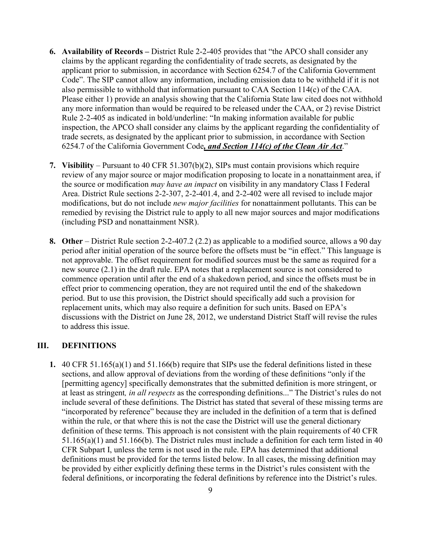- **6. Availability of Records** District Rule 2-2-405 provides that "the APCO shall consider any claims by the applicant regarding the confidentiality of trade secrets, as designated by the applicant prior to submission, in accordance with Section 6254.7 of the California Government Code". The SIP cannot allow any information, including emission data to be withheld if it is not also permissible to withhold that information pursuant to CAA Section 114(c) of the CAA. Please either 1) provide an analysis showing that the California State law cited does not withhold any more information than would be required to be released under the CAA, or 2) revise District Rule 2-2-405 as indicated in bold/underline: "In making information available for public inspection, the APCO shall consider any claims by the applicant regarding the confidentiality of trade secrets, as designated by the applicant prior to submission, in accordance with Section 6254.7 of the California Government Code*, and Section 114(c) of the Clean Air Act*."
- **7. Visibility** Pursuant to 40 CFR 51.307(b)(2), SIPs must contain provisions which require review of any major source or major modification proposing to locate in a nonattainment area, if the source or modification *may have an impact* on visibility in any mandatory Class I Federal Area. District Rule sections 2-2-307, 2-2-401.4, and 2-2-402 were all revised to include major modifications, but do not include *new major facilities* for nonattainment pollutants. This can be remedied by revising the District rule to apply to all new major sources and major modifications (including PSD and nonattainment NSR).
- **8. Other** District Rule section 2-2-407.2 (2.2) as applicable to a modified source, allows a 90 day period after initial operation of the source before the offsets must be "in effect." This language is not approvable. The offset requirement for modified sources must be the same as required for a new source (2.1) in the draft rule. EPA notes that a replacement source is not considered to commence operation until after the end of a shakedown period, and since the offsets must be in effect prior to commencing operation, they are not required until the end of the shakedown period. But to use this provision, the District should specifically add such a provision for replacement units, which may also require a definition for such units. Based on EPA's discussions with the District on June 28, 2012, we understand District Staff will revise the rules to address this issue.

# **III. DEFINITIONS**

**1.** 40 CFR 51.165(a)(1) and 51.166(b) require that SIPs use the federal definitions listed in these sections, and allow approval of deviations from the wording of these definitions "only if the [permitting agency] specifically demonstrates that the submitted definition is more stringent, or at least as stringent*, in all respects* as the corresponding definitions..." The District's rules do not include several of these definitions. The District has stated that several of these missing terms are "incorporated by reference" because they are included in the definition of a term that is defined within the rule, or that where this is not the case the District will use the general dictionary definition of these terms. This approach is not consistent with the plain requirements of 40 CFR 51.165(a)(1) and 51.166(b). The District rules must include a definition for each term listed in 40 CFR Subpart I, unless the term is not used in the rule. EPA has determined that additional definitions must be provided for the terms listed below. In all cases, the missing definition may be provided by either explicitly defining these terms in the District's rules consistent with the federal definitions, or incorporating the federal definitions by reference into the District's rules.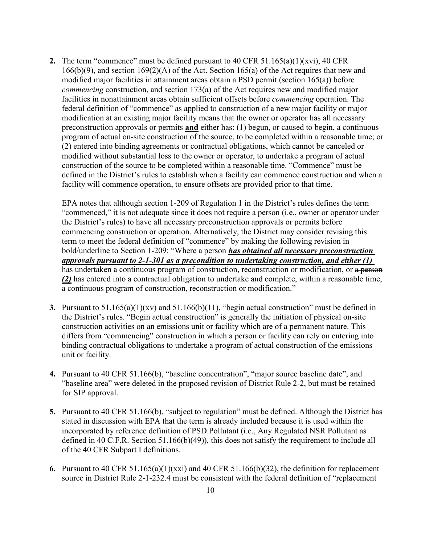**2.** The term "commence" must be defined pursuant to 40 CFR 51.165(a)(1)(xvi), 40 CFR  $166(b)(9)$ , and section  $169(2)(A)$  of the Act. Section  $165(a)$  of the Act requires that new and modified major facilities in attainment areas obtain a PSD permit (section 165(a)) before *commencing* construction, and section 173(a) of the Act requires new and modified major facilities in nonattainment areas obtain sufficient offsets before *commencing* operation. The federal definition of "commence" as applied to construction of a new major facility or major modification at an existing major facility means that the owner or operator has all necessary preconstruction approvals or permits **and** either has: (1) begun, or caused to begin, a continuous program of actual on-site construction of the source, to be completed within a reasonable time; or (2) entered into binding agreements or contractual obligations, which cannot be canceled or modified without substantial loss to the owner or operator, to undertake a program of actual construction of the source to be completed within a reasonable time. "Commence" must be defined in the District's rules to establish when a facility can commence construction and when a facility will commence operation, to ensure offsets are provided prior to that time.

EPA notes that although section 1-209 of Regulation 1 in the District's rules defines the term "commenced," it is not adequate since it does not require a person (i.e., owner or operator under the District's rules) to have all necessary preconstruction approvals or permits before commencing construction or operation. Alternatively, the District may consider revising this term to meet the federal definition of "commence" by making the following revision in bold/underline to Section 1-209: "Where a person *has obtained all necessary preconstruction approvals pursuant to 2-1-301 as a precondition to undertaking construction, and either (1)*  has undertaken a continuous program of construction, reconstruction or modification, or a person *(2)* has entered into a contractual obligation to undertake and complete, within a reasonable time, a continuous program of construction, reconstruction or modification."

- **3.** Pursuant to 51.165(a)(1)(xv) and 51.166(b)(11), "begin actual construction" must be defined in the District's rules. "Begin actual construction" is generally the initiation of physical on-site construction activities on an emissions unit or facility which are of a permanent nature. This differs from "commencing" construction in which a person or facility can rely on entering into binding contractual obligations to undertake a program of actual construction of the emissions unit or facility.
- **4.** Pursuant to 40 CFR 51.166(b), "baseline concentration", "major source baseline date", and "baseline area" were deleted in the proposed revision of District Rule 2-2, but must be retained for SIP approval.
- **5.** Pursuant to 40 CFR 51.166(b), "subject to regulation" must be defined. Although the District has stated in discussion with EPA that the term is already included because it is used within the incorporated by reference definition of PSD Pollutant (i.e., Any Regulated NSR Pollutant as defined in 40 C.F.R. Section 51.166(b)(49)), this does not satisfy the requirement to include all of the 40 CFR Subpart I definitions.
- **6.** Pursuant to 40 CFR 51.165(a)(1)(xxi) and 40 CFR 51.166(b)(32), the definition for replacement source in District Rule 2-1-232.4 must be consistent with the federal definition of "replacement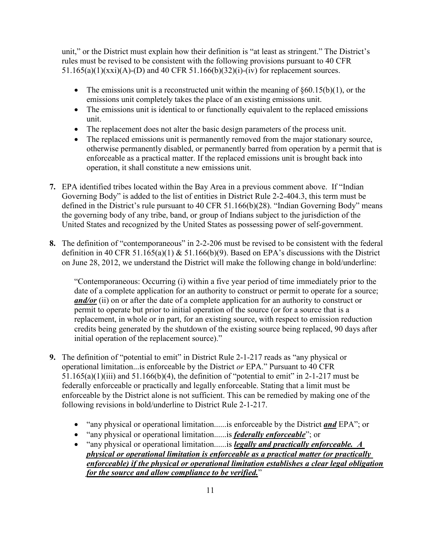unit," or the District must explain how their definition is "at least as stringent." The District's rules must be revised to be consistent with the following provisions pursuant to 40 CFR 51.165(a)(1)(xxi)(A)-(D) and 40 CFR 51.166(b)(32)(i)-(iv) for replacement sources.

- The emissions unit is a reconstructed unit within the meaning of  $\S 60.15(b)(1)$ , or the emissions unit completely takes the place of an existing emissions unit.
- The emissions unit is identical to or functionally equivalent to the replaced emissions unit.
- · The replacement does not alter the basic design parameters of the process unit.
- The replaced emissions unit is permanently removed from the major stationary source, otherwise permanently disabled, or permanently barred from operation by a permit that is enforceable as a practical matter. If the replaced emissions unit is brought back into operation, it shall constitute a new emissions unit.
- **7.** EPA identified tribes located within the Bay Area in a previous comment above. If "Indian Governing Body" is added to the list of entities in District Rule 2-2-404.3, this term must be defined in the District's rule pursuant to 40 CFR 51.166(b)(28). "Indian Governing Body" means the governing body of any tribe, band, or group of Indians subject to the jurisdiction of the United States and recognized by the United States as possessing power of self-government.
- **8.** The definition of "contemporaneous" in 2-2-206 must be revised to be consistent with the federal definition in 40 CFR 51.165(a)(1)  $\&$  51.166(b)(9). Based on EPA's discussions with the District on June 28, 2012, we understand the District will make the following change in bold/underline:

"Contemporaneous: Occurring (i) within a five year period of time immediately prior to the date of a complete application for an authority to construct or permit to operate for a source; *and/or* (ii) on or after the date of a complete application for an authority to construct or permit to operate but prior to initial operation of the source (or for a source that is a replacement, in whole or in part, for an existing source, with respect to emission reduction credits being generated by the shutdown of the existing source being replaced, 90 days after initial operation of the replacement source)."

- **9.** The definition of "potential to emit" in District Rule 2-1-217 reads as "any physical or operational limitation...is enforceable by the District *or* EPA." Pursuant to 40 CFR  $51.165(a)(1)(iii)$  and  $51.166(b)(4)$ , the definition of "potential to emit" in 2-1-217 must be federally enforceable or practically and legally enforceable. Stating that a limit must be enforceable by the District alone is not sufficient. This can be remedied by making one of the following revisions in bold/underline to District Rule 2-1-217.
	- · "any physical or operational limitation......is enforceable by the District *and* EPA"; or
	- · "any physical or operational limitation......is *federally enforceable*"; or
	- · "any physical or operational limitation......is *legally and practically enforceable. A physical or operational limitation is enforceable as a practical matter (or practically enforceable) if the physical or operational limitation establishes a clear legal obligation for the source and allow compliance to be verified.*"